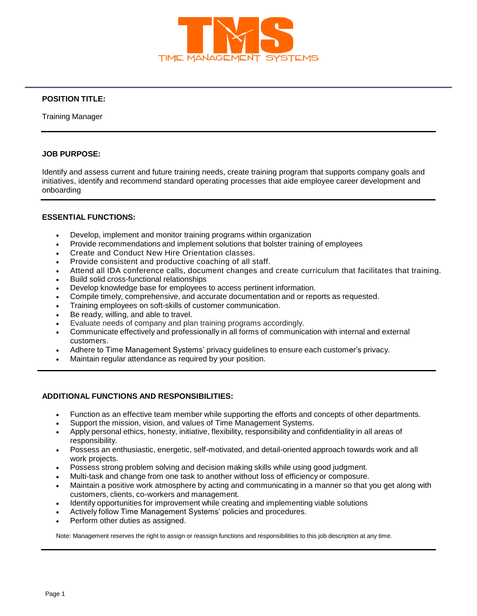

# **POSITION TITLE:**

Training Manager

### **JOB PURPOSE:**

Identify and assess current and future training needs, create training program that supports company goals and initiatives, identify and recommend standard operating processes that aide employee career development and onboarding

## **ESSENTIAL FUNCTIONS:**

- Develop, implement and monitor training programs within organization
- Provide recommendations and implement solutions that bolster training of employees
- Create and Conduct New Hire Orientation classes.
- Provide consistent and productive coaching of all staff.
- Attend all IDA conference calls, document changes and create curriculum that facilitates that training.
- Build solid cross-functional relationships
- Develop knowledge base for employees to access pertinent information.
- Compile timely, comprehensive, and accurate documentation and or reports as requested.
- Training employees on soft-skills of customer communication.
- Be ready, willing, and able to travel.
- Evaluate needs of company and plan training programs accordingly.
- Communicate effectively and professionally in all forms of communication with internal and external customers.
- Adhere to Time Management Systems' privacy guidelines to ensure each customer's privacy.
- Maintain regular attendance as required by your position.

#### **ADDITIONAL FUNCTIONS AND RESPONSIBILITIES:**

- Function as an effective team member while supporting the efforts and concepts of other departments.
- Support the mission, vision, and values of Time Management Systems.
- Apply personal ethics, honesty, initiative, flexibility, responsibility and confidentiality in all areas of responsibility.
- Possess an enthusiastic, energetic, self-motivated, and detail-oriented approach towards work and all work projects.
- Possess strong problem solving and decision making skills while using good judgment.
- Multi-task and change from one task to another without loss of efficiency or composure.
- Maintain a positive work atmosphere by acting and communicating in a manner so that you get along with customers, clients, co-workers and management.
- Identify opportunities for improvement while creating and implementing viable solutions
- Actively follow Time Management Systems' policies and procedures.
- Perform other duties as assigned.

Note: Management reserves the right to assign or reassign functions and responsibilities to this job description at any time.